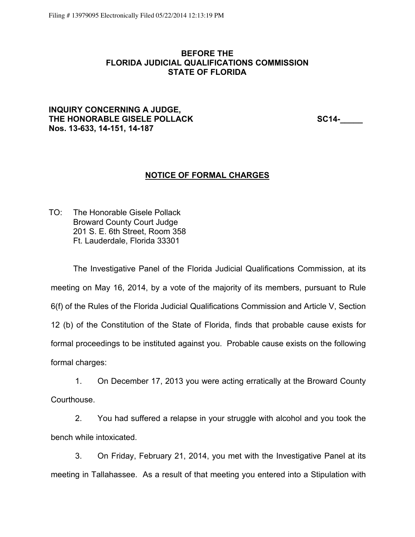#### **BEFORE THE FLORIDA JUDICIAL QUALIFICATIONS COMMISSION STATE OF FLORIDA**

### **INQUIRY CONCERNING A JUDGE, THE HONORABLE GISELE POLLACK SC14-\_\_\_\_\_ Nos. 13-633, 14-151, 14-187**

#### **NOTICE OF FORMAL CHARGES**

TO: The Honorable Gisele Pollack Broward County Court Judge 201 S. E. 6th Street, Room 358 Ft. Lauderdale, Florida 33301

The Investigative Panel of the Florida Judicial Qualifications Commission, at its meeting on May 16, 2014, by a vote of the majority of its members, pursuant to Rule 6(f) of the Rules of the Florida Judicial Qualifications Commission and Article V, Section 12 (b) of the Constitution of the State of Florida, finds that probable cause exists for formal proceedings to be instituted against you. Probable cause exists on the following formal charges:

1. On December 17, 2013 you were acting erratically at the Broward County Courthouse.

2. You had suffered a relapse in your struggle with alcohol and you took the bench while intoxicated.

3. On Friday, February 21, 2014, you met with the Investigative Panel at its meeting in Tallahassee. As a result of that meeting you entered into a Stipulation with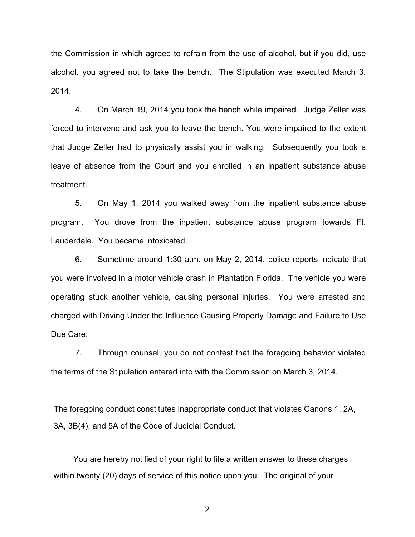the Commission in which agreed to refrain from the use of alcohol, but if you did, use alcohol, you agreed not to take the bench. The Stipulation was executed March 3, 2014.

4. On March 19, 2014 you took the bench while impaired. Judge Zeller was forced to intervene and ask you to leave the bench. You were impaired to the extent that Judge Zeller had to physically assist you in walking. Subsequently you took a leave of absence from the Court and you enrolled in an inpatient substance abuse treatment.

5. On May 1, 2014 you walked away from the inpatient substance abuse program. You drove from the inpatient substance abuse program towards Ft. Lauderdale. You became intoxicated.

6. Sometime around 1:30 a.m. on May 2, 2014, police reports indicate that you were involved in a motor vehicle crash in Plantation Florida. The vehicle you were operating stuck another vehicle, causing personal injuries. You were arrested and charged with Driving Under the Influence Causing Property Damage and Failure to Use Due Care.

7. Through counsel, you do not contest that the foregoing behavior violated the terms of the Stipulation entered into with the Commission on March 3, 2014.

The foregoing conduct constitutes inappropriate conduct that violates Canons 1, 2A, 3A, 3B(4), and 5A of the Code of Judicial Conduct.

You are hereby notified of your right to file a written answer to these charges within twenty (20) days of service of this notice upon you. The original of your

2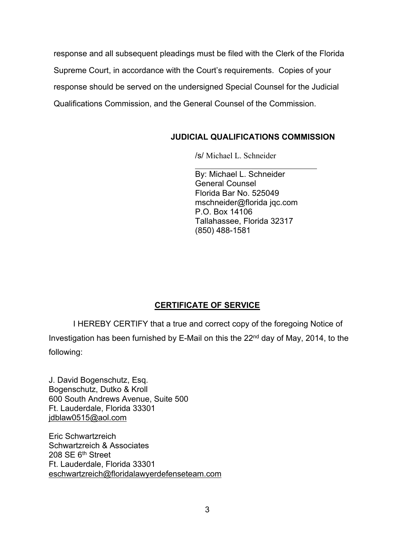response and all subsequent pleadings must be filed with the Clerk of the Florida Supreme Court, in accordance with the Court's requirements. Copies of your response should be served on the undersigned Special Counsel for the Judicial Qualifications Commission, and the General Counsel of the Commission.

## **JUDICIAL QUALIFICATIONS COMMISSION**

/s/ Michael L. Schneider

By: Michael L. Schneider General Counsel Florida Bar No. 525049 mschneider@florida jqc.com P.O. Box 14106 Tallahassee, Florida 32317 (850) 488-1581

# **CERTIFICATE OF SERVICE**

I HEREBY CERTIFY that a true and correct copy of the foregoing Notice of Investigation has been furnished by E-Mail on this the 22nd day of May, 2014, to the following:

J. David Bogenschutz, Esq. Bogenschutz, Dutko & Kroll 600 South Andrews Avenue, Suite 500 Ft. Lauderdale, Florida 33301 jdblaw0515@aol.com

Eric Schwartzreich Schwartzreich & Associates 208 SE 6th Street Ft. Lauderdale, Florida 33301 eschwartzreich@floridalawyerdefenseteam.com